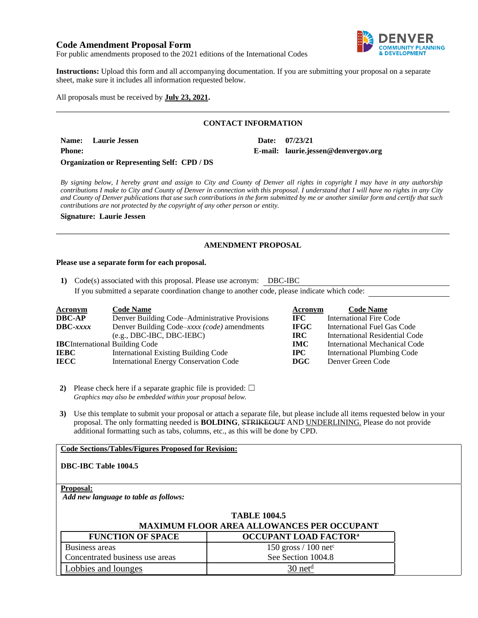# **Code Amendment Proposal Form**



For public amendments proposed to the 2021 editions of the International Codes

**Instructions:** Upload this form and all accompanying documentation. If you are submitting your proposal on a separate sheet, make sure it includes all information requested below.

All proposals must be received by **July 23, 2021.**

## **CONTACT INFORMATION**

**Name: Laurie Jessen Date: 07/23/21 Phone: E-mail: laurie.jessen@denvergov.org Organization or Representing Self: CPD / DS**

*By signing below, I hereby grant and assign to City and County of Denver all rights in copyright I may have in any authorship contributions I make to City and County of Denver in connection with this proposal. I understand that I will have no rights in any City and County of Denver publications that use such contributions in the form submitted by me or another similar form and certify that such contributions are not protected by the copyright of any other person or entity.* 

#### **Signature: Laurie Jessen**

## **AMENDMENT PROPOSAL**

#### **Please use a separate form for each proposal.**

**1)** Code(s) associated with this proposal. Please use acronym: DBC-IBC

If you submitted a separate coordination change to another code, please indicate which code:

| <b>Acronym</b>                         | <b>Code Name</b>                               | Acronym     | <b>Code Name</b>               |
|----------------------------------------|------------------------------------------------|-------------|--------------------------------|
| <b>DBC-AP</b>                          | Denver Building Code–Administrative Provisions | IFC -       | <b>International Fire Code</b> |
| $\text{DBC}-xxxx$                      | Denver Building Code–xxxx (code) amendments    | <b>IFGC</b> | International Fuel Gas Code    |
|                                        | $(e.g., DBC-IBC, DBC-IEBC)$                    | IRC-        | International Residential Code |
| <b>IBC</b> International Building Code |                                                | <b>IMC</b>  | International Mechanical Code  |
| <b>IEBC</b>                            | <b>International Existing Building Code</b>    | $\bf IPC$   | International Plumbing Code    |
| <b>IECC</b>                            | <b>International Energy Conservation Code</b>  | <b>DGC</b>  | Denver Green Code              |

**2)** Please check here if a separate graphic file is provided:  $\Box$ *Graphics may also be embedded within your proposal below.*

**3)** Use this template to submit your proposal or attach a separate file, but please include all items requested below in your proposal. The only formatting needed is **BOLDING**, STRIKEOUT AND UNDERLINING. Please do not provide additional formatting such as tabs, columns, etc., as this will be done by CPD.

### **Code Sections/Tables/Figures Proposed for Revision:**

### **DBC-IBC Table 1004.5**

### **Proposal:**

*Add new language to table as follows:*

| <b>TABLE 1004.5</b><br><b>MAXIMUM FLOOR AREA ALLOWANCES PER OCCUPANT</b> |                                         |  |  |
|--------------------------------------------------------------------------|-----------------------------------------|--|--|
| <b>FUNCTION OF SPACE</b>                                                 | <b>OCCUPANT LOAD FACTOR<sup>a</sup></b> |  |  |
| Business areas                                                           | 150 gross $/ 100$ net <sup>c</sup>      |  |  |
| Concentrated business use areas                                          | See Section 1004.8                      |  |  |
| Lobbies and lounges                                                      | $30$ net <sup>d</sup>                   |  |  |